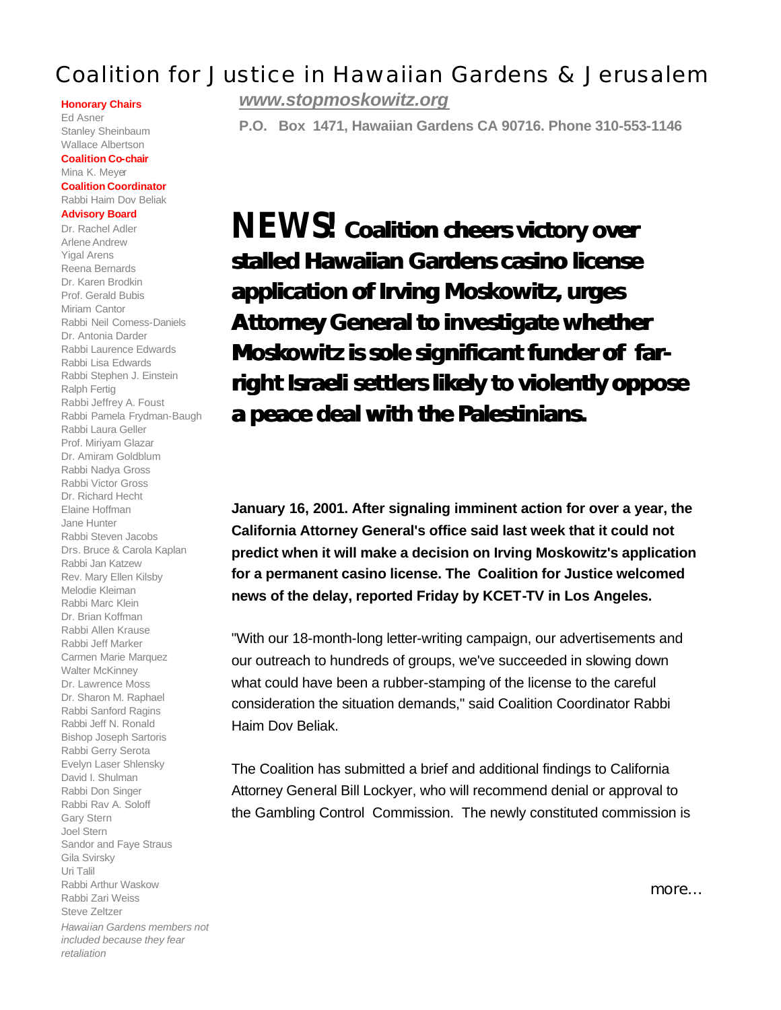# Coalition for Justice in Hawaiian Gardens & Jerusalem

**Honorary Chairs**

Ed Asner Stanley Sheinbaum Wallace Albertson

## **Coalition Co-chair** Mina K. Meyer

#### **Coalition Coordinator** Rabbi Haim Dov Beliak

## **Advisory Board**

Dr. Rachel Adler Arlene Andrew Yigal Arens Reena Bernards Dr. Karen Brodkin Prof. Gerald Bubis Miriam Cantor Rabbi Neil Comess-Daniels Dr. Antonia Darder Rabbi Laurence Edwards Rabbi Lisa Edwards Rabbi Stephen J. Einstein Ralph Fertig Rabbi Jeffrey A. Foust Rabbi Pamela Frydman-Baugh Rabbi Laura Geller Prof. Miriyam Glazar Dr. Amiram Goldblum Rabbi Nadya Gross Rabbi Victor Gross Dr. Richard Hecht Elaine Hoffman Jane Hunter Rabbi Steven Jacobs Drs. Bruce & Carola Kaplan Rabbi Jan Katzew Rev. Mary Ellen Kilsby Melodie Kleiman Rabbi Marc Klein Dr. Brian Koffman Rabbi Allen Krause Rabbi Jeff Marker Carmen Marie Marquez Walter McKinney Dr. Lawrence Moss Dr. Sharon M. Raphael Rabbi Sanford Ragins Rabbi Jeff N. Ronald Bishop Joseph Sartoris Rabbi Gerry Serota Evelyn Laser Shlensky David I. Shulman Rabbi Don Singer Rabbi Rav A. Soloff Gary Stern Joel Stern Sandor and Faye Straus Gila Svirsky Uri Talil Rabbi Arthur Waskow Rabbi Zari Weiss Steve Zeltzer *Hawaiian Gardens members not included because they fear retaliation*

*www.stopmoskowitz.org*

**P.O. Box 1471, Hawaiian Gardens CA 90716. Phone 310-553-1146**

*NEWS!* **Coalition cheers victory over stalled Hawaiian Gardens casino license application of Irving Moskowitz, urges Attorney General to investigate whether Moskowitz is sole significant funder of farright Israeli settlers likely to violently oppose a peace deal with the Palestinians.**

**January 16, 2001. After signaling imminent action for over a year, the California Attorney General's office said last week that it could not predict when it will make a decision on Irving Moskowitz's application for a permanent casino license. The Coalition for Justice welcomed news of the delay, reported Friday by KCET-TV in Los Angeles.** 

"With our 18-month-long letter-writing campaign, our advertisements and our outreach to hundreds of groups, we've succeeded in slowing down what could have been a rubber-stamping of the license to the careful consideration the situation demands," said Coalition Coordinator Rabbi Haim Dov Beliak.

The Coalition has submitted a brief and additional findings to California Attorney General Bill Lockyer, who will recommend denial or approval to the Gambling Control Commission. The newly constituted commission is

*more…*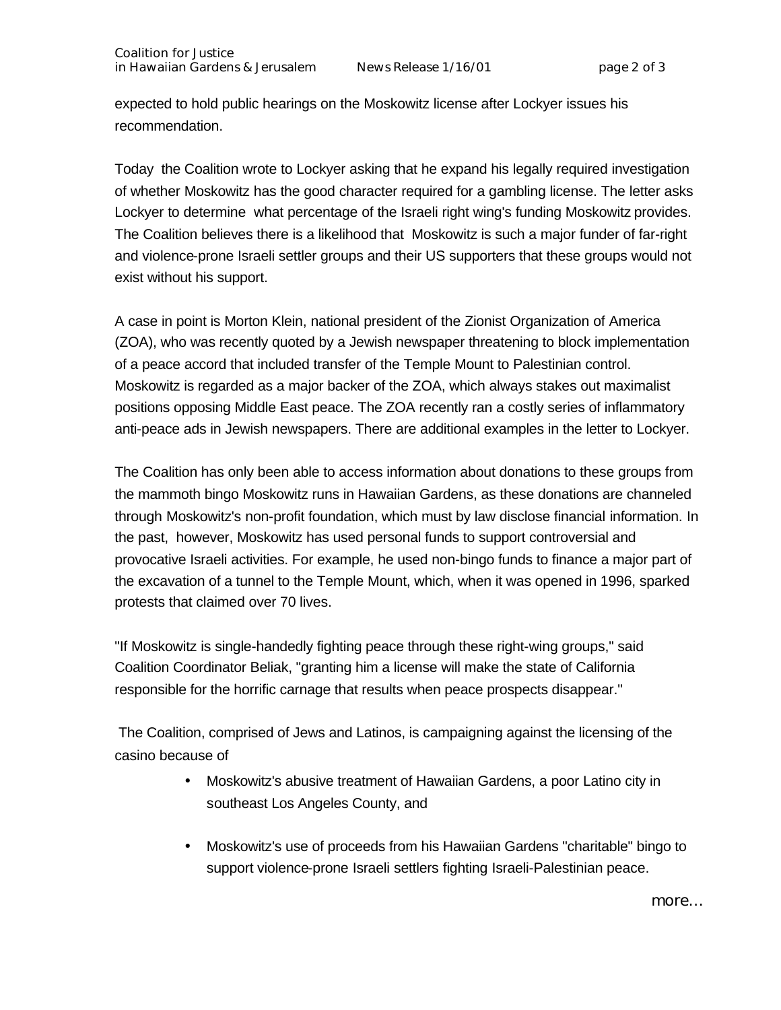expected to hold public hearings on the Moskowitz license after Lockyer issues his recommendation.

Today the Coalition wrote to Lockyer asking that he expand his legally required investigation of whether Moskowitz has the good character required for a gambling license. The letter asks Lockyer to determine what percentage of the Israeli right wing's funding Moskowitz provides. The Coalition believes there is a likelihood that Moskowitz is such a major funder of far-right and violence-prone Israeli settler groups and their US supporters that these groups would not exist without his support.

A case in point is Morton Klein, national president of the Zionist Organization of America (ZOA), who was recently quoted by a Jewish newspaper threatening to block implementation of a peace accord that included transfer of the Temple Mount to Palestinian control. Moskowitz is regarded as a major backer of the ZOA, which always stakes out maximalist positions opposing Middle East peace. The ZOA recently ran a costly series of inflammatory anti-peace ads in Jewish newspapers. There are additional examples in the letter to Lockyer.

The Coalition has only been able to access information about donations to these groups from the mammoth bingo Moskowitz runs in Hawaiian Gardens, as these donations are channeled through Moskowitz's non-profit foundation, which must by law disclose financial information. In the past, however, Moskowitz has used personal funds to support controversial and provocative Israeli activities. For example, he used non-bingo funds to finance a major part of the excavation of a tunnel to the Temple Mount, which, when it was opened in 1996, sparked protests that claimed over 70 lives.

"If Moskowitz is single-handedly fighting peace through these right-wing groups," said Coalition Coordinator Beliak, "granting him a license will make the state of California responsible for the horrific carnage that results when peace prospects disappear."

 The Coalition, comprised of Jews and Latinos, is campaigning against the licensing of the casino because of

- Moskowitz's abusive treatment of Hawaiian Gardens, a poor Latino city in southeast Los Angeles County, and
- Moskowitz's use of proceeds from his Hawaiian Gardens "charitable" bingo to support violence-prone Israeli settlers fighting Israeli-Palestinian peace.

*more…*